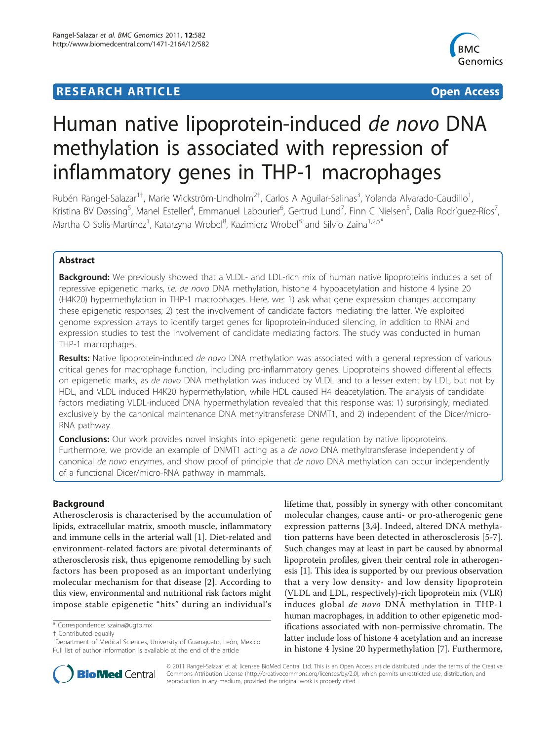## **RESEARCH ARTICLE Example 2018 12:00 Department of the Contract Open Access**



# Human native lipoprotein-induced de novo DNA methylation is associated with repression of inflammatory genes in THP-1 macrophages

Rubén Rangel-Salazar<sup>1†</sup>, Marie Wickström-Lindholm<sup>2†</sup>, Carlos A Aguilar-Salinas<sup>3</sup>, Yolanda Alvarado-Caudillo<sup>1</sup> , Kristina BV Døssing<sup>5</sup>, Manel Esteller<sup>4</sup>, Emmanuel Labourier<sup>6</sup>, Gertrud Lund<sup>7</sup>, Finn C Nielsen<sup>5</sup>, Dalia Rodríguez-Ríos<sup>7</sup> , Martha O Solís-Martínez<sup>1</sup>, Katarzyna Wrobel<sup>8</sup>, Kazimierz Wrobel<sup>8</sup> and Silvio Zaina<sup>1,2,5\*</sup>

## Abstract

Background: We previously showed that a VLDL- and LDL-rich mix of human native lipoproteins induces a set of repressive epigenetic marks, i.e. de novo DNA methylation, histone 4 hypoacetylation and histone 4 lysine 20 (H4K20) hypermethylation in THP-1 macrophages. Here, we: 1) ask what gene expression changes accompany these epigenetic responses; 2) test the involvement of candidate factors mediating the latter. We exploited genome expression arrays to identify target genes for lipoprotein-induced silencing, in addition to RNAi and expression studies to test the involvement of candidate mediating factors. The study was conducted in human THP-1 macrophages.

Results: Native lipoprotein-induced de novo DNA methylation was associated with a general repression of various critical genes for macrophage function, including pro-inflammatory genes. Lipoproteins showed differential effects on epigenetic marks, as de novo DNA methylation was induced by VLDL and to a lesser extent by LDL, but not by HDL, and VLDL induced H4K20 hypermethylation, while HDL caused H4 deacetylation. The analysis of candidate factors mediating VLDL-induced DNA hypermethylation revealed that this response was: 1) surprisingly, mediated exclusively by the canonical maintenance DNA methyltransferase DNMT1, and 2) independent of the Dicer/micro-RNA pathway.

**Conclusions:** Our work provides novel insights into epigenetic gene regulation by native lipoproteins. Furthermore, we provide an example of DNMT1 acting as a de novo DNA methyltransferase independently of canonical de novo enzymes, and show proof of principle that de novo DNA methylation can occur independently of a functional Dicer/micro-RNA pathway in mammals.

## Background

Atherosclerosis is characterised by the accumulation of lipids, extracellular matrix, smooth muscle, inflammatory and immune cells in the arterial wall [[1](#page-10-0)]. Diet-related and environment-related factors are pivotal determinants of atherosclerosis risk, thus epigenome remodelling by such factors has been proposed as an important underlying molecular mechanism for that disease [[2](#page-10-0)]. According to this view, environmental and nutritional risk factors might impose stable epigenetic "hits" during an individual's

† Contributed equally <sup>1</sup>

<sup>&</sup>lt;sup>1</sup>Department of Medical Sciences, University of Guanajuato, León, Mexico Full list of author information is available at the end of the article





© 2011 Rangel-Salazar et al; licensee BioMed Central Ltd. This is an Open Access article distributed under the terms of the Creative Commons Attribution License [\(http://creativecommons.org/licenses/by/2.0](http://creativecommons.org/licenses/by/2.0)), which permits unrestricted use, distribution, and reproduction in any medium, provided the original work is properly cited.

<sup>\*</sup> Correspondence: [szaina@ugto.mx](mailto:szaina@ugto.mx)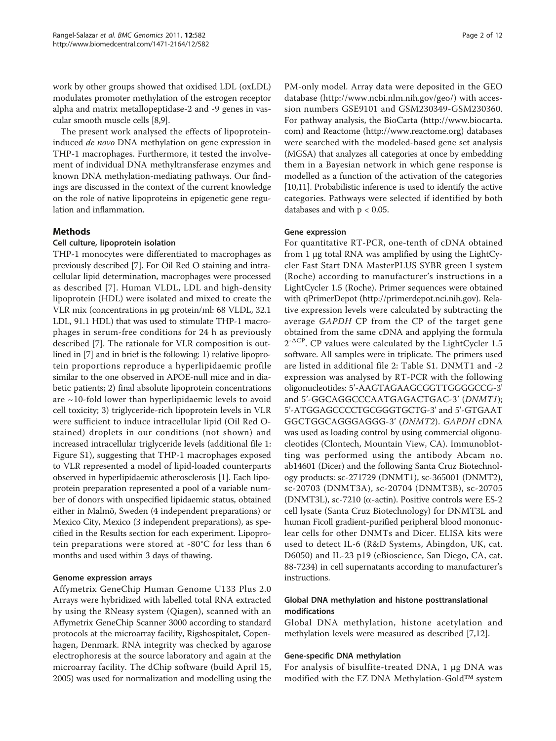work by other groups showed that oxidised LDL (oxLDL) modulates promoter methylation of the estrogen receptor alpha and matrix metallopeptidase-2 and -9 genes in vascular smooth muscle cells [\[8,9\]](#page-10-0).

The present work analysed the effects of lipoproteininduced de novo DNA methylation on gene expression in THP-1 macrophages. Furthermore, it tested the involvement of individual DNA methyltransferase enzymes and known DNA methylation-mediating pathways. Our findings are discussed in the context of the current knowledge on the role of native lipoproteins in epigenetic gene regulation and inflammation.

## Methods

#### Cell culture, lipoprotein isolation

THP-1 monocytes were differentiated to macrophages as previously described [[7\]](#page-10-0). For Oil Red O staining and intracellular lipid determination, macrophages were processed as described [[7](#page-10-0)]. Human VLDL, LDL and high-density lipoprotein (HDL) were isolated and mixed to create the VLR mix (concentrations in μg protein/ml: 68 VLDL, 32.1 LDL, 91.1 HDL) that was used to stimulate THP-1 macrophages in serum-free conditions for 24 h as previously described [[7\]](#page-10-0). The rationale for VLR composition is outlined in [\[7](#page-10-0)] and in brief is the following: 1) relative lipoprotein proportions reproduce a hyperlipidaemic profile similar to the one observed in APOE-null mice and in diabetic patients; 2) final absolute lipoprotein concentrations are  $\sim$ 10-fold lower than hyperlipidaemic levels to avoid cell toxicity; 3) triglyceride-rich lipoprotein levels in VLR were sufficient to induce intracellular lipid (Oil Red Ostained) droplets in our conditions (not shown) and increased intracellular triglyceride levels (additional file [1](#page-10-0): Figure S1), suggesting that THP-1 macrophages exposed to VLR represented a model of lipid-loaded counterparts observed in hyperlipidaemic atherosclerosis [\[1\]](#page-10-0). Each lipoprotein preparation represented a pool of a variable number of donors with unspecified lipidaemic status, obtained either in Malmö, Sweden (4 independent preparations) or Mexico City, Mexico (3 independent preparations), as specified in the Results section for each experiment. Lipoprotein preparations were stored at -80°C for less than 6 months and used within 3 days of thawing.

#### Genome expression arrays

Affymetrix GeneChip Human Genome U133 Plus 2.0 Arrays were hybridized with labelled total RNA extracted by using the RNeasy system (Qiagen), scanned with an Affymetrix GeneChip Scanner 3000 according to standard protocols at the microarray facility, Rigshospitalet, Copenhagen, Denmark. RNA integrity was checked by agarose electrophoresis at the source laboratory and again at the microarray facility. The dChip software (build April 15, 2005) was used for normalization and modelling using the PM-only model. Array data were deposited in the GEO database [\(http://www.ncbi.nlm.nih.gov/geo/](http://www.ncbi.nlm.nih.gov/geo/)) with accession numbers GSE9101 and GSM230349-GSM230360. For pathway analysis, the BioCarta ([http://www.biocarta.](http://www.biocarta.com) [com](http://www.biocarta.com)) and Reactome [\(http://www.reactome.org](http://www.reactome.org)) databases were searched with the modeled-based gene set analysis (MGSA) that analyzes all categories at once by embedding them in a Bayesian network in which gene response is modelled as a function of the activation of the categories [[10,11\]](#page-10-0). Probabilistic inference is used to identify the active categories. Pathways were selected if identified by both databases and with  $p < 0.05$ .

#### Gene expression

For quantitative RT-PCR, one-tenth of cDNA obtained from 1 μg total RNA was amplified by using the LightCycler Fast Start DNA MasterPLUS SYBR green I system (Roche) according to manufacturer's instructions in a LightCycler 1.5 (Roche). Primer sequences were obtained with qPrimerDepot ([http://primerdepot.nci.nih.gov\)](http://primerdepot.nci.nih.gov). Relative expression levels were calculated by subtracting the average GAPDH CP from the CP of the target gene obtained from the same cDNA and applying the formula  $2^{-\Delta CP}$ . CP values were calculated by the LightCycler 1.5 software. All samples were in triplicate. The primers used are listed in additional file [2](#page-10-0): Table S1. DNMT1 and -2 expression was analysed by RT-PCR with the following oligonucleotides: 5'-AAGTAGAAGCGGTTGGGGCCG-3' and 5'-GGCAGGCCCAATGAGACTGAC-3' (DNMT1); 5'-ATGGAGCCCCTGCGGGTGCTG-3' and 5'-GTGAAT GGCTGGCAGGGAGGG-3' (DNMT2). GAPDH cDNA was used as loading control by using commercial oligonucleotides (Clontech, Mountain View, CA). Immunoblotting was performed using the antibody Abcam no. ab14601 (Dicer) and the following Santa Cruz Biotechnology products: sc-271729 (DNMT1), sc-365001 (DNMT2), sc-20703 (DNMT3A), sc-20704 (DNMT3B), sc-20705 (DNMT3L), sc-7210 ( $\alpha$ -actin). Positive controls were ES-2 cell lysate (Santa Cruz Biotechnology) for DNMT3L and human Ficoll gradient-purified peripheral blood mononuclear cells for other DNMTs and Dicer. ELISA kits were used to detect IL-6 (R&D Systems, Abingdon, UK, cat. D6050) and IL-23 p19 (eBioscience, San Diego, CA, cat. 88-7234) in cell supernatants according to manufacturer's instructions.

## Global DNA methylation and histone posttranslational modifications

Global DNA methylation, histone acetylation and methylation levels were measured as described [[7,12\]](#page-10-0).

#### Gene-specific DNA methylation

For analysis of bisulfite-treated DNA, 1 μg DNA was modified with the EZ DNA Methylation-Gold™ system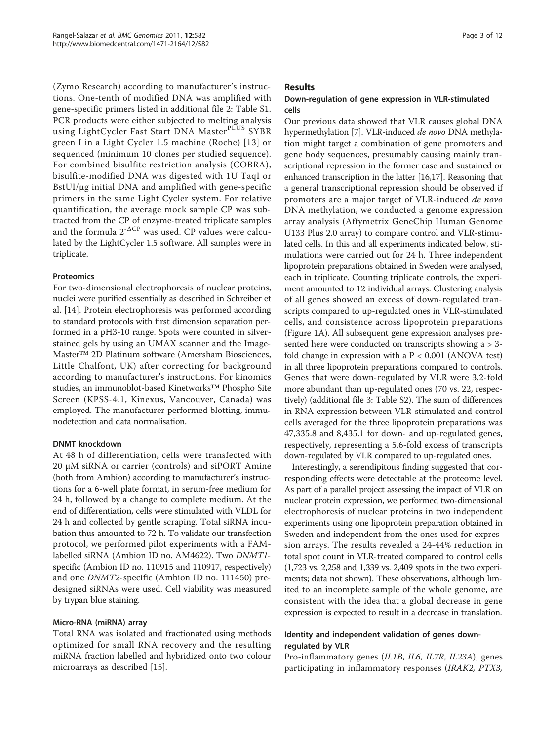(Zymo Research) according to manufacturer's instructions. One-tenth of modified DNA was amplified with gene-specific primers listed in additional file [2](#page-10-0): Table S1. PCR products were either subjected to melting analysis using LightCycler Fast Start DNA MasterPLUS SYBR green I in a Light Cycler 1.5 machine (Roche) [\[13\]](#page-10-0) or sequenced (minimum 10 clones per studied sequence). For combined bisulfite restriction analysis (COBRA), bisulfite-modified DNA was digested with 1U TaqI or BstUI/μg initial DNA and amplified with gene-specific primers in the same Light Cycler system. For relative quantification, the average mock sample CP was subtracted from the CP of enzyme-treated triplicate samples and the formula  $2^{-\Delta CP}$  was used. CP values were calculated by the LightCycler 1.5 software. All samples were in triplicate.

## Proteomics

For two-dimensional electrophoresis of nuclear proteins, nuclei were purified essentially as described in Schreiber et al. [[14\]](#page-10-0). Protein electrophoresis was performed according to standard protocols with first dimension separation performed in a pH3-10 range. Spots were counted in silverstained gels by using an UMAX scanner and the Image-Master™ 2D Platinum software (Amersham Biosciences, Little Chalfont, UK) after correcting for background according to manufacturer's instructions. For kinomics studies, an immunoblot-based Kinetworks™ Phospho Site Screen (KPSS-4.1, Kinexus, Vancouver, Canada) was employed. The manufacturer performed blotting, immunodetection and data normalisation.

#### DNMT knockdown

At 48 h of differentiation, cells were transfected with 20 μM siRNA or carrier (controls) and siPORT Amine (both from Ambion) according to manufacturer's instructions for a 6-well plate format, in serum-free medium for 24 h, followed by a change to complete medium. At the end of differentiation, cells were stimulated with VLDL for 24 h and collected by gentle scraping. Total siRNA incubation thus amounted to 72 h. To validate our transfection protocol, we performed pilot experiments with a FAMlabelled siRNA (Ambion ID no. AM4622). Two DNMT1 specific (Ambion ID no. 110915 and 110917, respectively) and one DNMT2-specific (Ambion ID no. 111450) predesigned siRNAs were used. Cell viability was measured by trypan blue staining.

#### Micro-RNA (miRNA) array

Total RNA was isolated and fractionated using methods optimized for small RNA recovery and the resulting miRNA fraction labelled and hybridized onto two colour microarrays as described [\[15](#page-10-0)].

## Results

## Down-regulation of gene expression in VLR-stimulated cells

Our previous data showed that VLR causes global DNA hypermethylation [\[7](#page-10-0)]. VLR-induced de novo DNA methylation might target a combination of gene promoters and gene body sequences, presumably causing mainly transcriptional repression in the former case and sustained or enhanced transcription in the latter [[16,17\]](#page-10-0). Reasoning that a general transcriptional repression should be observed if promoters are a major target of VLR-induced de novo DNA methylation, we conducted a genome expression array analysis (Affymetrix GeneChip Human Genome U133 Plus 2.0 array) to compare control and VLR-stimulated cells. In this and all experiments indicated below, stimulations were carried out for 24 h. Three independent lipoprotein preparations obtained in Sweden were analysed, each in triplicate. Counting triplicate controls, the experiment amounted to 12 individual arrays. Clustering analysis of all genes showed an excess of down-regulated transcripts compared to up-regulated ones in VLR-stimulated cells, and consistence across lipoprotein preparations (Figure [1A\)](#page-3-0). All subsequent gene expression analyses presented here were conducted on transcripts showing a > 3 fold change in expression with a  $P < 0.001$  (ANOVA test) in all three lipoprotein preparations compared to controls. Genes that were down-regulated by VLR were 3.2-fold more abundant than up-regulated ones (70 vs. 22, respectively) (additional file [3:](#page-10-0) Table S2). The sum of differences in RNA expression between VLR-stimulated and control cells averaged for the three lipoprotein preparations was 47,335.8 and 8,435.1 for down- and up-regulated genes, respectively, representing a 5.6-fold excess of transcripts down-regulated by VLR compared to up-regulated ones.

Interestingly, a serendipitous finding suggested that corresponding effects were detectable at the proteome level. As part of a parallel project assessing the impact of VLR on nuclear protein expression, we performed two-dimensional electrophoresis of nuclear proteins in two independent experiments using one lipoprotein preparation obtained in Sweden and independent from the ones used for expression arrays. The results revealed a 24-44% reduction in total spot count in VLR-treated compared to control cells (1,723 vs. 2,258 and 1,339 vs. 2,409 spots in the two experiments; data not shown). These observations, although limited to an incomplete sample of the whole genome, are consistent with the idea that a global decrease in gene expression is expected to result in a decrease in translation.

## Identity and independent validation of genes downregulated by VLR

Pro-inflammatory genes (IL1B, IL6, IL7R, IL23A), genes participating in inflammatory responses (IRAK2, PTX3,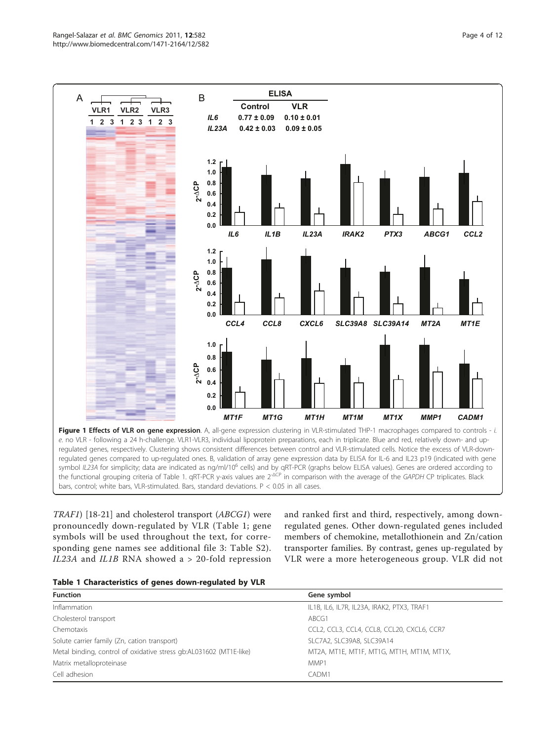<span id="page-3-0"></span>

TRAF1) [[18-21\]](#page-10-0) and cholesterol transport (ABCG1) were pronouncedly down-regulated by VLR (Table 1; gene symbols will be used throughout the text, for correbars, control; white bars, VLR-stimulated. Bars, standard deviations. P < 0.05 in all cases.

and ranked first and third, respectively, among downregulated genes. Other down-regulated genes included members of chemokine, metallothionein and Zn/cation transporter families. By contrast, genes up-regulated by VLR were a more heterogeneous group. VLR did not

|  |  |  |  |  | Table 1 Characteristics of genes down-regulated by VLR |  |
|--|--|--|--|--|--------------------------------------------------------|--|
|--|--|--|--|--|--------------------------------------------------------|--|

sponding gene names see additional file [3:](#page-10-0) Table S2). IL23A and IL1B RNA showed a  $>$  20-fold repression

| <b>Function</b>                                                    | Gene symbol                                |  |
|--------------------------------------------------------------------|--------------------------------------------|--|
| Inflammation                                                       | IL1B, IL6, IL7R, IL23A, IRAK2, PTX3, TRAF1 |  |
| Cholesterol transport                                              | ABCG1                                      |  |
| Chemotaxis                                                         | CCL2, CCL3, CCL4, CCL8, CCL20, CXCL6, CCR7 |  |
| Solute carrier family (Zn, cation transport)                       | SLC7A2, SLC39A8, SLC39A14                  |  |
| Metal binding, control of oxidative stress gb:AL031602 (MT1E-like) | MT2A, MT1E, MT1F, MT1G, MT1H, MT1M, MT1X,  |  |
| Matrix metalloproteinase                                           | MMP1                                       |  |
| Cell adhesion                                                      | CADM1                                      |  |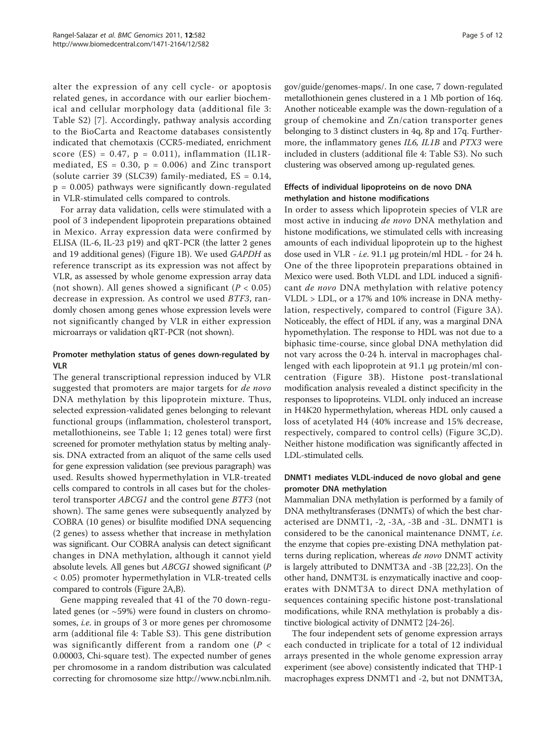alter the expression of any cell cycle- or apoptosis related genes, in accordance with our earlier biochemical and cellular morphology data (additional file [3](#page-10-0): Table S2) [\[7](#page-10-0)]. Accordingly, pathway analysis according to the BioCarta and Reactome databases consistently indicated that chemotaxis (CCR5-mediated, enrichment score (ES) =  $0.47$ , p =  $0.011$ ), inflammation (IL1Rmediated,  $ES = 0.30$ ,  $p = 0.006$ ) and Zinc transport (solute carrier 39 (SLC39) family-mediated, ES = 0.14,  $p = 0.005$ ) pathways were significantly down-regulated in VLR-stimulated cells compared to controls.

For array data validation, cells were stimulated with a pool of 3 independent lipoprotein preparations obtained in Mexico. Array expression data were confirmed by ELISA (IL-6, IL-23 p19) and qRT-PCR (the latter 2 genes and 19 additional genes) (Figure [1B](#page-3-0)). We used GAPDH as reference transcript as its expression was not affect by VLR, as assessed by whole genome expression array data (not shown). All genes showed a significant ( $P < 0.05$ ) decrease in expression. As control we used BTF3, randomly chosen among genes whose expression levels were not significantly changed by VLR in either expression microarrays or validation qRT-PCR (not shown).

## Promoter methylation status of genes down-regulated by **VIR**

The general transcriptional repression induced by VLR suggested that promoters are major targets for de novo DNA methylation by this lipoprotein mixture. Thus, selected expression-validated genes belonging to relevant functional groups (inflammation, cholesterol transport, metallothioneins, see Table [1](#page-3-0); 12 genes total) were first screened for promoter methylation status by melting analysis. DNA extracted from an aliquot of the same cells used for gene expression validation (see previous paragraph) was used. Results showed hypermethylation in VLR-treated cells compared to controls in all cases but for the cholesterol transporter ABCG1 and the control gene BTF3 (not shown). The same genes were subsequently analyzed by COBRA (10 genes) or bisulfite modified DNA sequencing (2 genes) to assess whether that increase in methylation was significant. Our COBRA analysis can detect significant changes in DNA methylation, although it cannot yield absolute levels. All genes but ABCG1 showed significant (P < 0.05) promoter hypermethylation in VLR-treated cells compared to controls (Figure [2A,B\)](#page-5-0).

Gene mapping revealed that 41 of the 70 down-regulated genes (or  $\sim$ 59%) were found in clusters on chromosomes, i.e. in groups of 3 or more genes per chromosome arm (additional file [4:](#page-10-0) Table S3). This gene distribution was significantly different from a random one ( $P <$ 0.00003, Chi-square test). The expected number of genes per chromosome in a random distribution was calculated correcting for chromosome size [http://www.ncbi.nlm.nih.](http://www.ncbi.nlm.nih.gov/guide/genomes-maps/)

[gov/guide/genomes-maps/.](http://www.ncbi.nlm.nih.gov/guide/genomes-maps/) In one case, 7 down-regulated metallothionein genes clustered in a 1 Mb portion of 16q. Another noticeable example was the down-regulation of a group of chemokine and Zn/cation transporter genes belonging to 3 distinct clusters in 4q, 8p and 17q. Furthermore, the inflammatory genes IL6, IL1B and PTX3 were included in clusters (additional file [4:](#page-10-0) Table S3). No such clustering was observed among up-regulated genes.

## Effects of individual lipoproteins on de novo DNA methylation and histone modifications

In order to assess which lipoprotein species of VLR are most active in inducing de novo DNA methylation and histone modifications, we stimulated cells with increasing amounts of each individual lipoprotein up to the highest dose used in VLR - i.e. 91.1 μg protein/ml HDL - for 24 h. One of the three lipoprotein preparations obtained in Mexico were used. Both VLDL and LDL induced a significant de novo DNA methylation with relative potency VLDL > LDL, or a 17% and 10% increase in DNA methylation, respectively, compared to control (Figure [3A\)](#page-6-0). Noticeably, the effect of HDL if any, was a marginal DNA hypomethylation. The response to HDL was not due to a biphasic time-course, since global DNA methylation did not vary across the 0-24 h. interval in macrophages challenged with each lipoprotein at 91.1 μg protein/ml concentration (Figure [3B\)](#page-6-0). Histone post-translational modification analysis revealed a distinct specificity in the responses to lipoproteins. VLDL only induced an increase in H4K20 hypermethylation, whereas HDL only caused a loss of acetylated H4 (40% increase and 15% decrease, respectively, compared to control cells) (Figure [3C,D](#page-6-0)). Neither histone modification was significantly affected in LDL-stimulated cells.

#### DNMT1 mediates VLDL-induced de novo global and gene promoter DNA methylation

Mammalian DNA methylation is performed by a family of DNA methyltransferases (DNMTs) of which the best characterised are DNMT1, -2, -3A, -3B and -3L. DNMT1 is considered to be the canonical maintenance DNMT, i.e. the enzyme that copies pre-existing DNA methylation patterns during replication, whereas de novo DNMT activity is largely attributed to DNMT3A and -3B [\[22,](#page-10-0)[23\]](#page-11-0). On the other hand, DNMT3L is enzymatically inactive and cooperates with DNMT3A to direct DNA methylation of sequences containing specific histone post-translational modifications, while RNA methylation is probably a distinctive biological activity of DNMT2 [\[24-26\]](#page-11-0).

The four independent sets of genome expression arrays each conducted in triplicate for a total of 12 individual arrays presented in the whole genome expression array experiment (see above) consistently indicated that THP-1 macrophages express DNMT1 and -2, but not DNMT3A,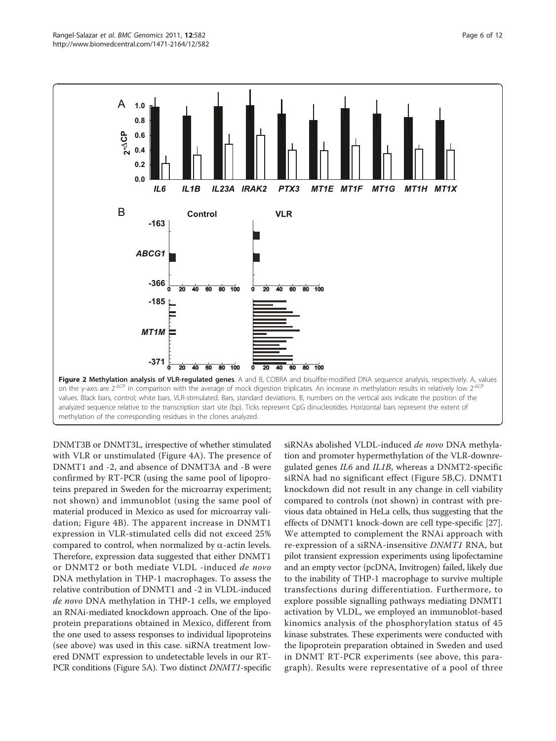<span id="page-5-0"></span>

DNMT3B or DNMT3L, irrespective of whether stimulated with VLR or unstimulated (Figure [4A\)](#page-7-0). The presence of DNMT1 and -2, and absence of DNMT3A and -B were confirmed by RT-PCR (using the same pool of lipoproteins prepared in Sweden for the microarray experiment; not shown) and immunoblot (using the same pool of material produced in Mexico as used for microarray validation; Figure [4B](#page-7-0)). The apparent increase in DNMT1 expression in VLR-stimulated cells did not exceed 25% compared to control, when normalized by  $\alpha$ -actin levels. Therefore, expression data suggested that either DNMT1 or DNMT2 or both mediate VLDL -induced de novo DNA methylation in THP-1 macrophages. To assess the relative contribution of DNMT1 and -2 in VLDL-induced de novo DNA methylation in THP-1 cells, we employed an RNAi-mediated knockdown approach. One of the lipoprotein preparations obtained in Mexico, different from the one used to assess responses to individual lipoproteins (see above) was used in this case. siRNA treatment lowered DNMT expression to undetectable levels in our RT-PCR conditions (Figure [5A\)](#page-8-0). Two distinct DNMT1-specific

siRNAs abolished VLDL-induced de novo DNA methylation and promoter hypermethylation of the VLR-downregulated genes IL6 and IL1B, whereas a DNMT2-specific siRNA had no significant effect (Figure [5B,C](#page-8-0)). DNMT1 knockdown did not result in any change in cell viability compared to controls (not shown) in contrast with previous data obtained in HeLa cells, thus suggesting that the effects of DNMT1 knock-down are cell type-specific [[27](#page-11-0)]. We attempted to complement the RNAi approach with re-expression of a siRNA-insensitive DNMT1 RNA, but pilot transient expression experiments using lipofectamine and an empty vector (pcDNA, Invitrogen) failed, likely due to the inability of THP-1 macrophage to survive multiple transfections during differentiation. Furthermore, to explore possible signalling pathways mediating DNMT1 activation by VLDL, we employed an immunoblot-based kinomics analysis of the phosphorylation status of 45 kinase substrates. These experiments were conducted with the lipoprotein preparation obtained in Sweden and used in DNMT RT-PCR experiments (see above, this paragraph). Results were representative of a pool of three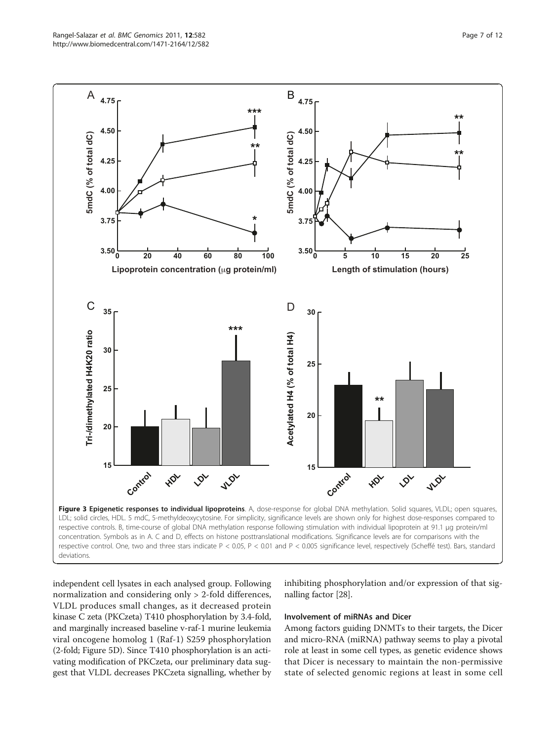<span id="page-6-0"></span>

independent cell lysates in each analysed group. Following normalization and considering only > 2-fold differences, VLDL produces small changes, as it decreased protein kinase C zeta (PKCzeta) T410 phosphorylation by 3.4-fold, and marginally increased baseline v-raf-1 murine leukemia viral oncogene homolog 1 (Raf-1) S259 phosphorylation (2-fold; Figure [5D](#page-8-0)). Since T410 phosphorylation is an activating modification of PKCzeta, our preliminary data suggest that VLDL decreases PKCzeta signalling, whether by inhibiting phosphorylation and/or expression of that signalling factor [\[28](#page-11-0)].

#### Involvement of miRNAs and Dicer

Among factors guiding DNMTs to their targets, the Dicer and micro-RNA (miRNA) pathway seems to play a pivotal role at least in some cell types, as genetic evidence shows that Dicer is necessary to maintain the non-permissive state of selected genomic regions at least in some cell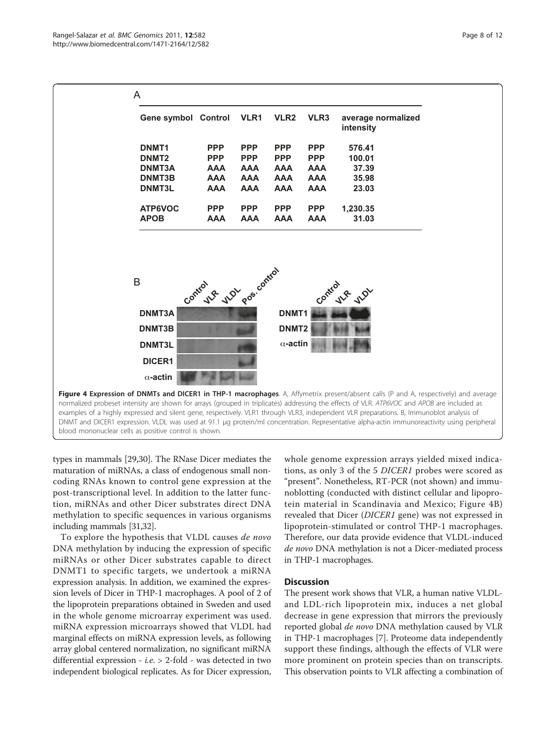<span id="page-7-0"></span>

types in mammals [[29,30](#page-11-0)]. The RNase Dicer mediates the maturation of miRNAs, a class of endogenous small noncoding RNAs known to control gene expression at the post-transcriptional level. In addition to the latter function, miRNAs and other Dicer substrates direct DNA methylation to specific sequences in various organisms including mammals [\[31,32](#page-11-0)].

To explore the hypothesis that VLDL causes de novo DNA methylation by inducing the expression of specific miRNAs or other Dicer substrates capable to direct DNMT1 to specific targets, we undertook a miRNA expression analysis. In addition, we examined the expression levels of Dicer in THP-1 macrophages. A pool of 2 of the lipoprotein preparations obtained in Sweden and used in the whole genome microarray experiment was used. miRNA expression microarrays showed that VLDL had marginal effects on miRNA expression levels, as following array global centered normalization, no significant miRNA differential expression - i.e. > 2-fold - was detected in two independent biological replicates. As for Dicer expression,

whole genome expression arrays yielded mixed indications, as only 3 of the 5 DICER1 probes were scored as "present". Nonetheless, RT-PCR (not shown) and immunoblotting (conducted with distinct cellular and lipoprotein material in Scandinavia and Mexico; Figure 4B) revealed that Dicer (DICER1 gene) was not expressed in lipoprotein-stimulated or control THP-1 macrophages. Therefore, our data provide evidence that VLDL-induced de novo DNA methylation is not a Dicer-mediated process in THP-1 macrophages.

#### **Discussion**

The present work shows that VLR, a human native VLDLand LDL-rich lipoprotein mix, induces a net global decrease in gene expression that mirrors the previously reported global de novo DNA methylation caused by VLR in THP-1 macrophages [[7\]](#page-10-0). Proteome data independently support these findings, although the effects of VLR were more prominent on protein species than on transcripts. This observation points to VLR affecting a combination of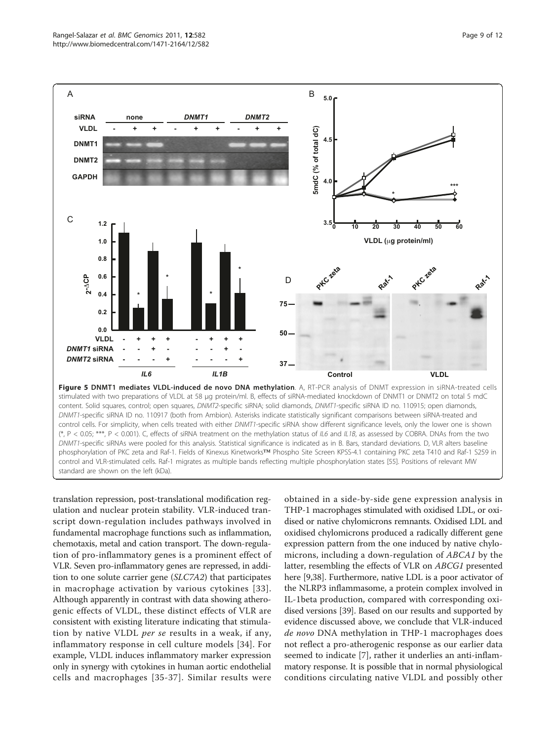<span id="page-8-0"></span>

standard are shown on the left (kDa)

translation repression, post-translational modification regulation and nuclear protein stability. VLR-induced transcript down-regulation includes pathways involved in fundamental macrophage functions such as inflammation, chemotaxis, metal and cation transport. The down-regulation of pro-inflammatory genes is a prominent effect of VLR. Seven pro-inflammatory genes are repressed, in addition to one solute carrier gene (SLC7A2) that participates in macrophage activation by various cytokines [[33\]](#page-11-0). Although apparently in contrast with data showing atherogenic effects of VLDL, these distinct effects of VLR are consistent with existing literature indicating that stimulation by native VLDL per se results in a weak, if any, inflammatory response in cell culture models [[34](#page-11-0)]. For example, VLDL induces inflammatory marker expression only in synergy with cytokines in human aortic endothelial cells and macrophages [[35](#page-11-0)-[37\]](#page-11-0). Similar results were

obtained in a side-by-side gene expression analysis in THP-1 macrophages stimulated with oxidised LDL, or oxidised or native chylomicrons remnants. Oxidised LDL and oxidised chylomicrons produced a radically different gene expression pattern from the one induced by native chylomicrons, including a down-regulation of ABCA1 by the latter, resembling the effects of VLR on ABCG1 presented here [\[9,](#page-10-0)[38\]](#page-11-0). Furthermore, native LDL is a poor activator of the NLRP3 inflammasome, a protein complex involved in IL-1beta production, compared with corresponding oxidised versions [[39](#page-11-0)]. Based on our results and supported by evidence discussed above, we conclude that VLR-induced de novo DNA methylation in THP-1 macrophages does not reflect a pro-atherogenic response as our earlier data seemed to indicate [\[7](#page-10-0)], rather it underlies an anti-inflammatory response. It is possible that in normal physiological conditions circulating native VLDL and possibly other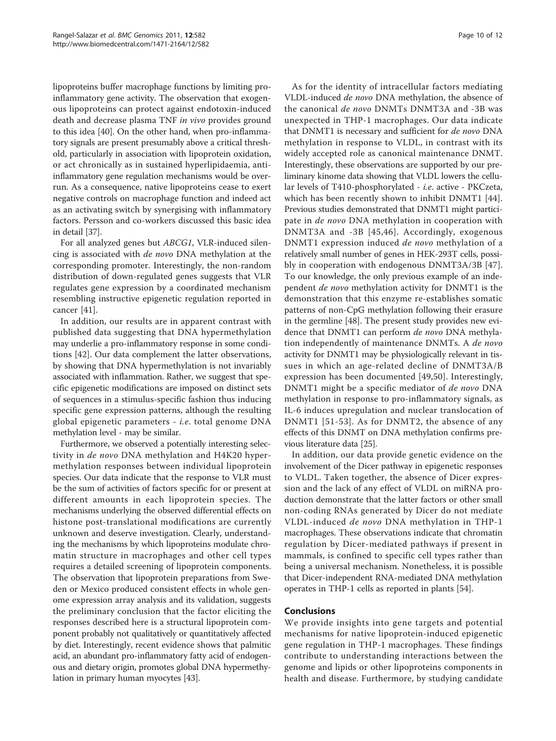lipoproteins buffer macrophage functions by limiting proinflammatory gene activity. The observation that exogenous lipoproteins can protect against endotoxin-induced death and decrease plasma TNF in vivo provides ground to this idea [[40](#page-11-0)]. On the other hand, when pro-inflammatory signals are present presumably above a critical threshold, particularly in association with lipoprotein oxidation, or act chronically as in sustained hyperlipidaemia, antiinflammatory gene regulation mechanisms would be overrun. As a consequence, native lipoproteins cease to exert negative controls on macrophage function and indeed act as an activating switch by synergising with inflammatory factors. Persson and co-workers discussed this basic idea in detail [[37](#page-11-0)].

For all analyzed genes but ABCG1, VLR-induced silencing is associated with de novo DNA methylation at the corresponding promoter. Interestingly, the non-random distribution of down-regulated genes suggests that VLR regulates gene expression by a coordinated mechanism resembling instructive epigenetic regulation reported in cancer [[41](#page-11-0)].

In addition, our results are in apparent contrast with published data suggesting that DNA hypermethylation may underlie a pro-inflammatory response in some conditions [\[42](#page-11-0)]. Our data complement the latter observations, by showing that DNA hypermethylation is not invariably associated with inflammation. Rather, we suggest that specific epigenetic modifications are imposed on distinct sets of sequences in a stimulus-specific fashion thus inducing specific gene expression patterns, although the resulting global epigenetic parameters - i.e. total genome DNA methylation level - may be similar.

Furthermore, we observed a potentially interesting selectivity in de novo DNA methylation and H4K20 hypermethylation responses between individual lipoprotein species. Our data indicate that the response to VLR must be the sum of activities of factors specific for or present at different amounts in each lipoprotein species. The mechanisms underlying the observed differential effects on histone post-translational modifications are currently unknown and deserve investigation. Clearly, understanding the mechanisms by which lipoproteins modulate chromatin structure in macrophages and other cell types requires a detailed screening of lipoprotein components. The observation that lipoprotein preparations from Sweden or Mexico produced consistent effects in whole genome expression array analysis and its validation, suggests the preliminary conclusion that the factor eliciting the responses described here is a structural lipoprotein component probably not qualitatively or quantitatively affected by diet. Interestingly, recent evidence shows that palmitic acid, an abundant pro-inflammatory fatty acid of endogenous and dietary origin, promotes global DNA hypermethylation in primary human myocytes [[43](#page-11-0)].

As for the identity of intracellular factors mediating VLDL-induced de novo DNA methylation, the absence of the canonical de novo DNMTs DNMT3A and -3B was unexpected in THP-1 macrophages. Our data indicate that DNMT1 is necessary and sufficient for de novo DNA methylation in response to VLDL, in contrast with its widely accepted role as canonical maintenance DNMT. Interestingly, these observations are supported by our preliminary kinome data showing that VLDL lowers the cellular levels of T410-phosphorylated - i.e. active - PKCzeta, which has been recently shown to inhibit DNMT1 [[44](#page-11-0)]. Previous studies demonstrated that DNMT1 might participate in de novo DNA methylation in cooperation with DNMT3A and -3B [[45](#page-11-0),[46](#page-11-0)]. Accordingly, exogenous DNMT1 expression induced de novo methylation of a relatively small number of genes in HEK-293T cells, possibly in cooperation with endogenous DNMT3A/3B [[47](#page-11-0)]. To our knowledge, the only previous example of an independent de novo methylation activity for DNMT1 is the demonstration that this enzyme re-establishes somatic patterns of non-CpG methylation following their erasure in the germline [[48\]](#page-11-0). The present study provides new evidence that DNMT1 can perform *de novo* DNA methylation independently of maintenance DNMTs. A de novo activity for DNMT1 may be physiologically relevant in tissues in which an age-related decline of DNMT3A/B expression has been documented [[49,50](#page-11-0)]. Interestingly, DNMT1 might be a specific mediator of de novo DNA methylation in response to pro-inflammatory signals, as IL-6 induces upregulation and nuclear translocation of DNMT1 [\[51](#page-11-0)-[53\]](#page-11-0). As for DNMT2, the absence of any effects of this DNMT on DNA methylation confirms previous literature data [\[25](#page-11-0)].

In addition, our data provide genetic evidence on the involvement of the Dicer pathway in epigenetic responses to VLDL. Taken together, the absence of Dicer expression and the lack of any effect of VLDL on miRNA production demonstrate that the latter factors or other small non-coding RNAs generated by Dicer do not mediate VLDL-induced de novo DNA methylation in THP-1 macrophages. These observations indicate that chromatin regulation by Dicer-mediated pathways if present in mammals, is confined to specific cell types rather than being a universal mechanism. Nonetheless, it is possible that Dicer-independent RNA-mediated DNA methylation operates in THP-1 cells as reported in plants [\[54](#page-11-0)].

#### Conclusions

We provide insights into gene targets and potential mechanisms for native lipoprotein-induced epigenetic gene regulation in THP-1 macrophages. These findings contribute to understanding interactions between the genome and lipids or other lipoproteins components in health and disease. Furthermore, by studying candidate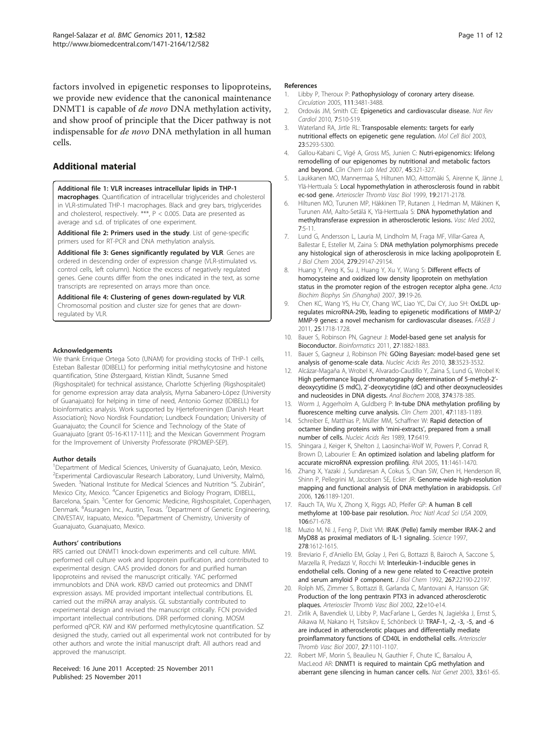<span id="page-10-0"></span>factors involved in epigenetic responses to lipoproteins, we provide new evidence that the canonical maintenance DNMT1 is capable of de novo DNA methylation activity, and show proof of principle that the Dicer pathway is not indispensable for de novo DNA methylation in all human cells.

## Additional material

#### [Additional file 1: V](http://www.biomedcentral.com/content/supplementary/1471-2164-12-582-S1.EPS)LR increases intracellular lipids in THP-1

macrophages. Quantification of intracellular triglycerides and cholesterol in VLR-stimulated THP-1 macrophages. Black and grey bars, triglycerides and cholesterol, respectively. \*\*\*, P < 0.005. Data are presented as average and s.d. of triplicates of one experiment.

[Additional file 2: P](http://www.biomedcentral.com/content/supplementary/1471-2164-12-582-S2.PDF)rimers used in the study. List of gene-specific primers used for RT-PCR and DNA methylation analysis.

[Additional file 3: G](http://www.biomedcentral.com/content/supplementary/1471-2164-12-582-S3.PDF)enes significantly regulated by VLR. Genes are ordered in descending order of expression change (VLR-stimulated vs. control cells, left column). Notice the excess of negatively regulated genes. Gene counts differ from the ones indicated in the text, as some transcripts are represented on arrays more than once.

[Additional file 4: C](http://www.biomedcentral.com/content/supplementary/1471-2164-12-582-S4.PDF)lustering of genes down-regulated by VLR. Chromosomal position and cluster size for genes that are downregulated by VLR.

#### Acknowledgements

We thank Enrique Ortega Soto (UNAM) for providing stocks of THP-1 cells, Esteban Ballestar (IDIBELL) for performing initial methylcytosine and histone quantification, Stine Østergaard, Kristian Klindt, Susanne Smed (Rigshospitalet) for technical assistance, Charlotte Schjerling (Rigshospitalet) for genome expression array data analysis, Myrna Sabanero-López (University of Guanajuato) for helping in time of need, Antonio Gomez (IDIBELL) for bioinformatics analysis. Work supported by Hjerteforeningen (Danish Heart Association); Novo Nordisk Foundation; Lundbeck Foundation; University of Guanajuato; the Council for Science and Technology of the State of Guanajuato [grant 05-16-K117-111]; and the Mexican Government Program for the Improvement of University Professorate (PROMEP-SEP).

#### Author details

<sup>1</sup>Department of Medical Sciences, University of Guanajuato, León, Mexico. <sup>2</sup> Experimental Cardiovascular Research Laboratory, Lund University, Malmö, Sweden. <sup>3</sup>National Institute for Medical Sciences and Nutrition "S. Zubirán", Mexico City, Mexico. <sup>4</sup>Cancer Epigenetics and Biology Program, IDIBELL, Barcelona, Spain. <sup>5</sup>Center for Genomic Medicine, Rigshospitalet, Copenhagen, Denmark. <sup>6</sup>Asuragen Inc., Austin, Texas. <sup>7</sup>Department of Genetic Engineering, CINVESTAV, Irapuato, Mexico. <sup>8</sup>Department of Chemistry, University of Guanajuato, Guanajuato, Mexico.

#### Authors' contributions

RRS carried out DNMT1 knock-down experiments and cell culture. MWL performed cell culture work and lipoprotein purification, and contributed to experimental design. CAAS provided donors for and purified human lipoproteins and revised the manuscript critically. YAC performed immunoblots and DNA work. KBVD carried out proteomics and DNMT expression assays. ME provided important intellectual contributions. EL carried out the miRNA array analysis. GL substantially contributed to experimental design and revised the manuscript critically. FCN provided important intellectual contributions. DRR performed cloning. MOSM performed qPCR. KW and KW performed methylcytosine quantification. SZ designed the study, carried out all experimental work not contributed for by other authors and wrote the initial manuscript draft. All authors read and approved the manuscript.

Received: 16 June 2011 Accepted: 25 November 2011 Published: 25 November 2011

#### References

- 1. Libby P, Theroux P: [Pathophysiology of coronary artery disease.](http://www.ncbi.nlm.nih.gov/pubmed/15983262?dopt=Abstract) Circulation 2005, 111:3481-3488.
- 2. Ordovás JM, Smith CE: [Epigenetics and cardiovascular disease.](http://www.ncbi.nlm.nih.gov/pubmed/20603647?dopt=Abstract) Nat Rev Cardiol 2010, 7:510-519.
- Waterland RA, Jirtle RL: [Transposable elements: targets for early](http://www.ncbi.nlm.nih.gov/pubmed/12861015?dopt=Abstract) [nutritional effects on epigenetic gene regulation.](http://www.ncbi.nlm.nih.gov/pubmed/12861015?dopt=Abstract) Mol Cell Biol 2003, 23:5293-5300.
- 4. Gallou-Kabani C, Vigé A, Gross MS, Junien C: [Nutri-epigenomics: lifelong](http://www.ncbi.nlm.nih.gov/pubmed/17378726?dopt=Abstract) [remodelling of our epigenomes by nutritional and metabolic factors](http://www.ncbi.nlm.nih.gov/pubmed/17378726?dopt=Abstract) [and beyond.](http://www.ncbi.nlm.nih.gov/pubmed/17378726?dopt=Abstract) Clin Chem Lab Med 2007, 45:321-327.
- 5. Laukkanen MO, Mannermaa S, Hiltunen MO, Aittomäki S, Airenne K, Jänne J, Ylä-Herttuala S: [Local hypomethylation in atherosclerosis found in rabbit](http://www.ncbi.nlm.nih.gov/pubmed/10479660?dopt=Abstract) [ec-sod gene.](http://www.ncbi.nlm.nih.gov/pubmed/10479660?dopt=Abstract) Arterioscler Thromb Vasc Biol 1999, 19:2171-2178.
- 6. Hiltunen MO, Turunen MP, Häkkinen TP, Rutanen J, Hedman M, Mäkinen K, Turunen AM, Aalto-Setälä K, Ylä-Herttuala S: [DNA hypomethylation and](http://www.ncbi.nlm.nih.gov/pubmed/12083735?dopt=Abstract) [methyltransferase expression in atherosclerotic lesions.](http://www.ncbi.nlm.nih.gov/pubmed/12083735?dopt=Abstract) Vasc Med 2002, 7:5-11.
- 7. Lund G, Andersson L, Lauria M, Lindholm M, Fraga MF, Villar-Garea A, Ballestar E, Esteller M, Zaina S: [DNA methylation polymorphisms precede](http://www.ncbi.nlm.nih.gov/pubmed/15131116?dopt=Abstract) [any histological sign of atherosclerosis in mice lacking apolipoprotein E.](http://www.ncbi.nlm.nih.gov/pubmed/15131116?dopt=Abstract) J Biol Chem 2004, 279:29147-29154.
- 8. Huang Y, Peng K, Su J, Huang Y, Xu Y, Wang S: Different effects of homocysteine and oxidized low density lipoprotein on methylation status in the promoter region of the estrogen receptor alpha gene. Acta Biochim Biophys Sin (Shanghai) 2007, 39:19-26.
- 9. Chen KC, Wang YS, Hu CY, Chang WC, Liao YC, Dai CY, Juo SH: [OxLDL up](http://www.ncbi.nlm.nih.gov/pubmed/21266537?dopt=Abstract)[regulates microRNA-29b, leading to epigenetic modifications of MMP-2/](http://www.ncbi.nlm.nih.gov/pubmed/21266537?dopt=Abstract) [MMP-9 genes: a novel mechanism for cardiovascular diseases.](http://www.ncbi.nlm.nih.gov/pubmed/21266537?dopt=Abstract) FASEB J 2011, 25:1718-1728.
- 10. Bauer S, Robinson PN, Gagneur J: [Model-based gene set analysis for](http://www.ncbi.nlm.nih.gov/pubmed/21561920?dopt=Abstract) [Bioconductor.](http://www.ncbi.nlm.nih.gov/pubmed/21561920?dopt=Abstract) Bioinformatics 2011, 27:1882-1883.
- 11. Bauer S, Gagneur J, Robinson PN: [GOing Bayesian: model-based gene set](http://www.ncbi.nlm.nih.gov/pubmed/20172960?dopt=Abstract) [analysis of genome-scale data.](http://www.ncbi.nlm.nih.gov/pubmed/20172960?dopt=Abstract) Nucleic Acids Res 2010, 38:3523-3532.
- 12. Alcázar-Magaña A, Wrobel K, Alvarado-Caudillo Y, Zaina S, Lund G, Wrobel K: [High performance liquid chromatography determination of 5-methyl-2](http://www.ncbi.nlm.nih.gov/pubmed/18157934?dopt=Abstract)' deoxycytidine (5 mdC), 2'[-deoxycytidine \(dC\) and other deoxynucleosides](http://www.ncbi.nlm.nih.gov/pubmed/18157934?dopt=Abstract) [and nucleosides in DNA digests.](http://www.ncbi.nlm.nih.gov/pubmed/18157934?dopt=Abstract) Anal Biochem 2008, 374:378-385.
- 13. Worm J, Aggerholm A, Guldberg P: [In-tube DNA methylation profiling by](http://www.ncbi.nlm.nih.gov/pubmed/11427447?dopt=Abstract) [fluorescence melting curve analysis.](http://www.ncbi.nlm.nih.gov/pubmed/11427447?dopt=Abstract) Clin Chem 2001, 47:1183-1189.
- 14. Schreiber E, Matthias P, Müller MM, Schaffner W: [Rapid detection of](http://www.ncbi.nlm.nih.gov/pubmed/2771659?dopt=Abstract) [octamer binding proteins with](http://www.ncbi.nlm.nih.gov/pubmed/2771659?dopt=Abstract) 'mini-extracts', prepared from a small [number of cells.](http://www.ncbi.nlm.nih.gov/pubmed/2771659?dopt=Abstract) Nucleic Acids Res 1989, 17:6419.
- 15. Shingara J, Keiger K, Shelton J, Laosinchai-Wolf W, Powers P, Conrad R, Brown D, Labourier E: [An optimized isolation and labeling platform for](http://www.ncbi.nlm.nih.gov/pubmed/16043497?dopt=Abstract) [accurate microRNA expression profiling.](http://www.ncbi.nlm.nih.gov/pubmed/16043497?dopt=Abstract) RNA 2005, 11:1461-1470.
- 16. Zhang X, Yazaki J, Sundaresan A, Cokus S, Chan SW, Chen H, Henderson IR, Shinn P, Pellegrini M, Jacobsen SE, Ecker JR: [Genome-wide high-resolution](http://www.ncbi.nlm.nih.gov/pubmed/16949657?dopt=Abstract) [mapping and functional analysis of DNA methylation in arabidopsis.](http://www.ncbi.nlm.nih.gov/pubmed/16949657?dopt=Abstract) Cell 2006, 126:1189-1201.
- 17. Rauch TA, Wu X, Zhong X, Riggs AD, Pfeifer GP: [A human B cell](http://www.ncbi.nlm.nih.gov/pubmed/19139413?dopt=Abstract) [methylome at 100-base pair resolution.](http://www.ncbi.nlm.nih.gov/pubmed/19139413?dopt=Abstract) Proc Natl Acad Sci USA 2009, 106:671-678.
- 18. Muzio M, Ni J, Feng P, Dixit VM: [IRAK \(Pelle\) family member IRAK-2 and](http://www.ncbi.nlm.nih.gov/pubmed/9374458?dopt=Abstract) [MyD88 as proximal mediators of IL-1 signaling.](http://www.ncbi.nlm.nih.gov/pubmed/9374458?dopt=Abstract) Science 1997, 278:1612-1615.
- 19. Breviario F, d'Aniello EM, Golay J, Peri G, Bottazzi B, Bairoch A, Saccone S, Marzella R, Predazzi V, Rocchi M: [Interleukin-1-inducible genes in](http://www.ncbi.nlm.nih.gov/pubmed/1429570?dopt=Abstract) [endothelial cells. Cloning of a new gene related to C-reactive protein](http://www.ncbi.nlm.nih.gov/pubmed/1429570?dopt=Abstract) [and serum amyloid P component.](http://www.ncbi.nlm.nih.gov/pubmed/1429570?dopt=Abstract) J Biol Chem 1992, 267:22190-22197.
- 20. Rolph MS, Zimmer S, Bottazzi B, Garlanda C, Mantovani A, Hansson GK: [Production of the long pentraxin PTX3 in advanced atherosclerotic](http://www.ncbi.nlm.nih.gov/pubmed/12006411?dopt=Abstract) [plaques.](http://www.ncbi.nlm.nih.gov/pubmed/12006411?dopt=Abstract) Arterioscler Thromb Vasc Biol 2002, 22:e10-e14.
- 21. Zirlik A, Bavendiek U, Libby P, MacFarlane L, Gerdes N, Jagielska J, Ernst S, Aikawa M, Nakano H, Tsitsikov E, Schönbeck U: [TRAF-1, -2, -3, -5, and -6](http://www.ncbi.nlm.nih.gov/pubmed/17332487?dopt=Abstract) [are induced in atherosclerotic plaques and differentially mediate](http://www.ncbi.nlm.nih.gov/pubmed/17332487?dopt=Abstract) [proinflammatory functions of CD40L in endothelial cells.](http://www.ncbi.nlm.nih.gov/pubmed/17332487?dopt=Abstract) Arterioscler Thromb Vasc Biol 2007, 27:1101-1107.
- 22. Robert MF, Morin S, Beaulieu N, Gauthier F, Chute IC, Barsalou A, MacLeod AR: [DNMT1 is required to maintain CpG methylation and](http://www.ncbi.nlm.nih.gov/pubmed/12496760?dopt=Abstract) [aberrant gene silencing in human cancer cells.](http://www.ncbi.nlm.nih.gov/pubmed/12496760?dopt=Abstract) Nat Genet 2003, 33:61-65.